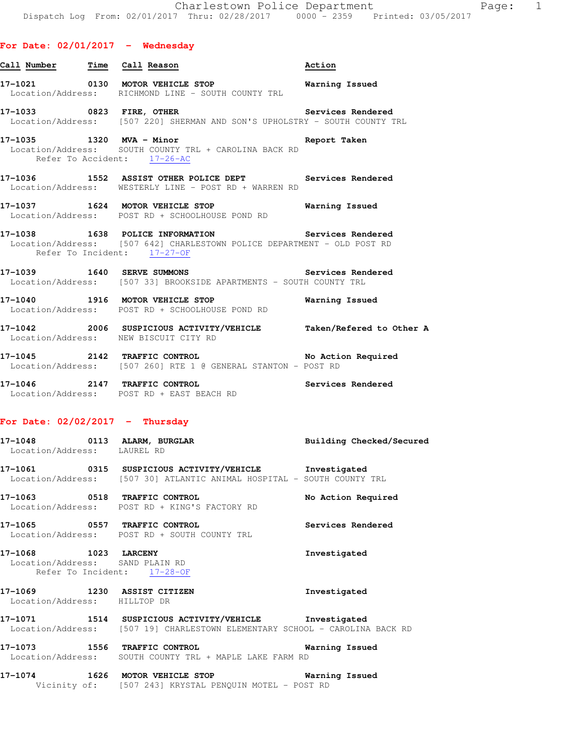| Call Number Time Call Reason |                                                                                                                                    | Action |
|------------------------------|------------------------------------------------------------------------------------------------------------------------------------|--------|
|                              | Location/Address: RICHMOND LINE - SOUTH COUNTY TRL                                                                                 |        |
|                              | Location/Address: [507 220] SHERMAN AND SON'S UPHOLSTRY - SOUTH COUNTY TRL                                                         |        |
| Refer To Accident: 17-26-AC  | 17-1035 1320 MVA - Minor <b>Example 20 Hotel</b> Report Taken<br>Location/Address: SOUTH COUNTY TRL + CAROLINA BACK RD             |        |
|                              | 17-1036 1552 ASSIST OTHER POLICE DEPT Services Rendered<br>Location/Address: WESTERLY LINE - POST RD + WARREN RD                   |        |
|                              | 17-1037 1624 MOTOR VEHICLE STOP <b>Warning Issued</b><br>Location/Address: POST RD + SCHOOLHOUSE POND RD                           |        |
| Refer To Incident: 17-27-OF  | 17-1038   1638   POLICE INFORMATION   Services Rendered<br>Location/Address: [507 642] CHARLESTOWN POLICE DEPARTMENT - OLD POST RD |        |
|                              | 17-1039 1640 SERVE SUMMONS 2000 Services Rendered<br>Location/Address: [507 33] BROOKSIDE APARTMENTS - SOUTH COUNTY TRL            |        |
|                              | 17-1040 1916 MOTOR VEHICLE STOP <b>Warning Issued</b><br>Location/Address: POST RD + SCHOOLHOUSE POND RD                           |        |
|                              | 17-1042 2006 SUSPICIOUS ACTIVITY/VEHICLE Taken/Refered to Other A<br>Location/Address: NEW BISCUIT CITY RD                         |        |

**17-1045 2142 TRAFFIC CONTROL No Action Required**  Location/Address: [507 260] RTE 1 @ GENERAL STANTON - POST RD

**17-1046 2147 TRAFFIC CONTROL Services Rendered**  Location/Address: POST RD + EAST BEACH RD

### **For Date: 02/02/2017 - Thursday**

| 17-1048<br>Location/Address: |       | 0113 ALARM, BURGLAR<br>LAUREL RD         | Building Checked/Secured                                                                                                                                                                                                      |
|------------------------------|-------|------------------------------------------|-------------------------------------------------------------------------------------------------------------------------------------------------------------------------------------------------------------------------------|
| 17.10 <i>c</i> 1             | 0.215 | $ATIARTATATII$ $ATRTITIRI$ $ATIITIRIATI$ | The company of the company of the company of the company of the company of the company of the company of the company of the company of the company of the company of the company of the company of the company of the company |

**17-1061 0315 SUSPICIOUS ACTIVITY/VEHICLE Investigated**  Location/Address: [507 30] ATLANTIC ANIMAL HOSPITAL - SOUTH COUNTY TRL

**17-1063 0518 TRAFFIC CONTROL No Action Required**  Location/Address: POST RD + KING'S FACTORY RD

**17-1065 0557 TRAFFIC CONTROL Services Rendered**  Location/Address: POST RD + SOUTH COUNTY TRL

**17-1068 1023 LARCENY Investigated**  Location/Address: SAND PLAIN RD Refer To Incident: 17-28-OF

# **17-1069 1230 ASSIST CITIZEN Investigated**  Location/Address: HILLTOP DR

**17-1071 1514 SUSPICIOUS ACTIVITY/VEHICLE Investigated**  Location/Address: [507 19] CHARLESTOWN ELEMENTARY SCHOOL - CAROLINA BACK RD

**17-1073 1556 TRAFFIC CONTROL Warning Issued**  Location/Address: SOUTH COUNTY TRL + MAPLE LAKE FARM RD

**17-1074 1626 MOTOR VEHICLE STOP Warning Issued**  Vicinity of: [507 243] KRYSTAL PENQUIN MOTEL - POST RD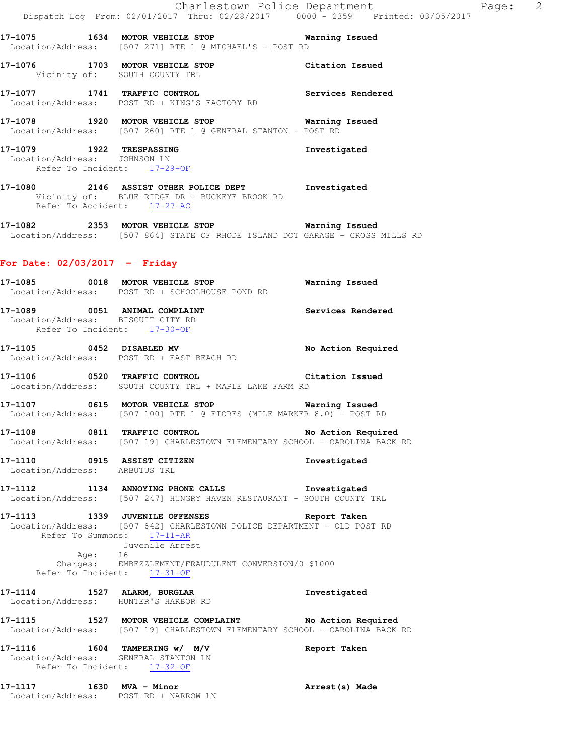**17-1075 1634 MOTOR VEHICLE STOP Warning Issued**  Location/Address: [507 271] RTE 1 @ MICHAEL'S - POST RD

**17-1076 1703 MOTOR VEHICLE STOP Citation Issued**  Vicinity of: SOUTH COUNTY TRL

**17-1077 1741 TRAFFIC CONTROL Services Rendered**  Location/Address: POST RD + KING'S FACTORY RD

**17-1078 1920 MOTOR VEHICLE STOP Warning Issued**  Location/Address: [507 260] RTE 1 @ GENERAL STANTON - POST RD

**17-1079 1922 TRESPASSING Investigated**  Location/Address: JOHNSON LN Refer To Incident: 17-29-OF

**17-1080 2146 ASSIST OTHER POLICE DEPT Investigated**  Vicinity of: BLUE RIDGE DR + BUCKEYE BROOK RD Refer To Accident:  $\frac{17-27-AC}{2}$ 

**17-1082 2353 MOTOR VEHICLE STOP Warning Issued**  Location/Address: [507 864] STATE OF RHODE ISLAND DOT GARAGE - CROSS MILLS RD

## **For Date: 02/03/2017 - Friday**

**17-1085 0018 MOTOR VEHICLE STOP Warning Issued**  Location/Address: POST RD + SCHOOLHOUSE POND RD

**17-1089 0051 ANIMAL COMPLAINT Services Rendered**  Location/Address: BISCUIT CITY RD Refer To Incident: 17-30-OF

17-1105 **0452** DISABLED MV **No Action Required** Location/Address: POST RD + EAST BEACH RD

**17-1106 0520 TRAFFIC CONTROL Citation Issued**  Location/Address: SOUTH COUNTY TRL + MAPLE LAKE FARM RD

**17-1107 0615 MOTOR VEHICLE STOP Warning Issued**  Location/Address: [507 100] RTE 1 @ FIORES (MILE MARKER 8.0) - POST RD

**17-1108 0811 TRAFFIC CONTROL No Action Required**  Location/Address: [507 19] CHARLESTOWN ELEMENTARY SCHOOL - CAROLINA BACK RD

**17-1110 0915 ASSIST CITIZEN Investigated**  Location/Address: ARBUTUS TRL

**17-1112 1134 ANNOYING PHONE CALLS Investigated**  Location/Address: [507 247] HUNGRY HAVEN RESTAURANT - SOUTH COUNTY TRL

**17-1113 1339 JUVENILE OFFENSES Report Taken**  Location/Address: [507 642] CHARLESTOWN POLICE DEPARTMENT - OLD POST RD Refer To Summons: 17-11-AR Juvenile Arrest Age: 16 Charges: EMBEZZLEMENT/FRAUDULENT CONVERSION/0 \$1000

Refer To Incident: 17-31-OF

**17-1114 1527 ALARM, BURGLAR Investigated**  Location/Address: HUNTER'S HARBOR RD

**17-1115 1527 MOTOR VEHICLE COMPLAINT No Action Required**  Location/Address: [507 19] CHARLESTOWN ELEMENTARY SCHOOL - CAROLINA BACK RD

**17-1116 1604 TAMPERING w/ M/V Report Taken**  Location/Address: GENERAL STANTON LN Refer To Incident: 17-32-OF

**17-1117 1630 MVA - Minor Arrest(s) Made**  Location/Address: POST RD + NARROW LN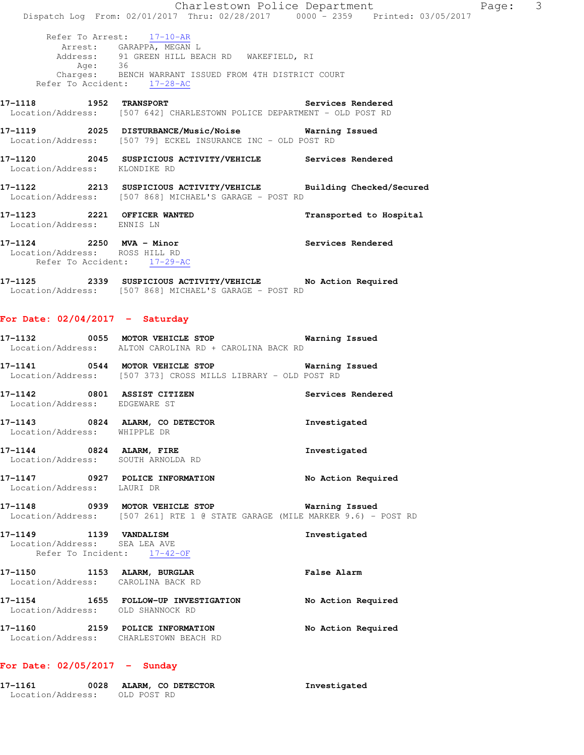Charlestown Police Department Page: 3 Dispatch Log From: 02/01/2017 Thru: 02/28/2017 0000 - 2359 Printed: 03/05/2017 Refer To Arrest: 17-10-AR Arrest: GARAPPA, MEGAN L Address: 91 GREEN HILL BEACH RD WAKEFIELD, RI Age: 36 Charges: BENCH WARRANT ISSUED FROM 4TH DISTRICT COURT Refer To Accident: 17-28-AC **17-1118 1952 TRANSPORT Services Rendered**  Location/Address: [507 642] CHARLESTOWN POLICE DEPARTMENT - OLD POST RD **17-1119 2025 DISTURBANCE/Music/Noise Warning Issued**  Location/Address: [507 79] ECKEL INSURANCE INC - OLD POST RD **17-1120 2045 SUSPICIOUS ACTIVITY/VEHICLE Services Rendered**  Location/Address: KLONDIKE RD **17-1122 2213 SUSPICIOUS ACTIVITY/VEHICLE Building Checked/Secured**  Location/Address: [507 868] MICHAEL'S GARAGE - POST RD **17-1123 2221 OFFICER WANTED Transported to Hospital**  Location/Address: ENNIS LN **17-1124 2250 MVA - Minor Services Rendered**  Location/Address: ROSS HILL RD Refer To Accident: 17-29-AC **17-1125 2339 SUSPICIOUS ACTIVITY/VEHICLE No Action Required**  Location/Address: [507 868] MICHAEL'S GARAGE - POST RD **For Date: 02/04/2017 - Saturday**

Location/Address: OLD POST RD

|                                                                                              | 17-1132 6055 MOTOR VEHICLE STOP 6 Warning Issued<br>Location/Address: ALTON CAROLINA RD + CAROLINA BACK RD             |                   |
|----------------------------------------------------------------------------------------------|------------------------------------------------------------------------------------------------------------------------|-------------------|
|                                                                                              | 17-1141 0544 MOTOR VEHICLE STOP <b>Warning Issued</b><br>Location/Address: [507 373] CROSS MILLS LIBRARY - OLD POST RD |                   |
| Location/Address: EDGEWARE ST                                                                | 17-1142 0801 ASSIST CITIZEN                                                                                            | Services Rendered |
| Location/Address: WHIPPLE DR                                                                 | 17-1143 0824 ALARM, CO DETECTOR                                                                                        | Investigated      |
|                                                                                              | 17-1144 0824 ALARM, FIRE<br>Location/Address: SOUTH ARNOLDA RD                                                         | Investigated      |
| Location/Address: LAURI DR                                                                   | 17-1147 0927 POLICE INFORMATION No Action Required                                                                     |                   |
|                                                                                              | Location/Address: [507 261] RTE 1 @ STATE GARAGE (MILE MARKER 9.6) - POST RD                                           |                   |
| 17-1149    1139    VANDALISM<br>Location/Address: SEA LEA AVE<br>Refer To Incident: 17-42-OF |                                                                                                                        | Investigated      |
|                                                                                              | 17-1150 1153 ALARM, BURGLAR<br>Location/Address: CAROLINA BACK RD                                                      | False Alarm       |
| Location/Address: OLD SHANNOCK RD                                                            | 17-1154 1655 FOLLOW-UP INVESTIGATION No Action Required                                                                |                   |
|                                                                                              | 17-1160 2159 POLICE INFORMATION No Action Required<br>Location/Address: CHARLESTOWN BEACH RD                           |                   |
| For Date: $02/05/2017 -$ Sunday                                                              |                                                                                                                        |                   |

**17-1161 0028 ALARM, CO DETECTOR Investigated**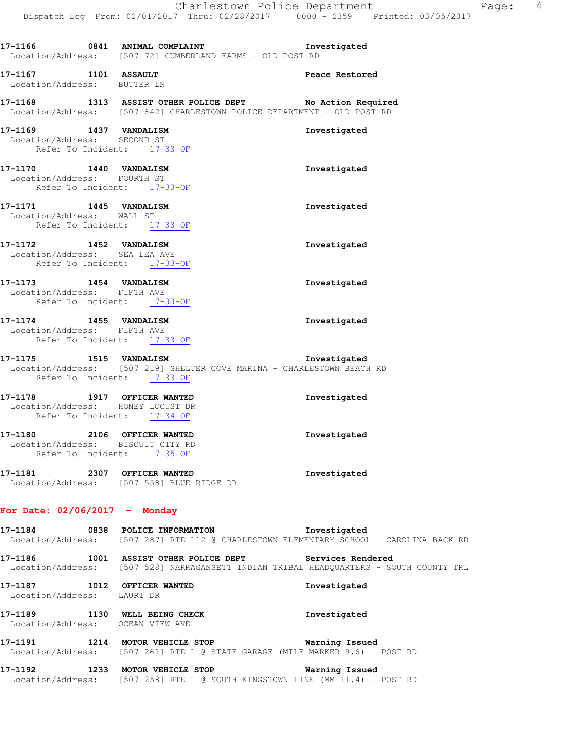|                                                           | 17-1166 0841 ANIMAL COMPLAINT<br>Location/Address: [507 72] CUMBERLAND FARMS - OLD POST RD                                                | Investigated   |
|-----------------------------------------------------------|-------------------------------------------------------------------------------------------------------------------------------------------|----------------|
| 17-1167 1101 ASSAULT<br>Location/Address: BUTTER LN       |                                                                                                                                           | Peace Restored |
|                                                           | 17-1168 1313 ASSIST OTHER POLICE DEPT No Action Required<br>Location/Address: [507 642] CHARLESTOWN POLICE DEPARTMENT - OLD POST RD       |                |
| 17-1169 1437 VANDALISM<br>Location/Address: SECOND ST     | Refer To Incident: 17-33-OF                                                                                                               | Investigated   |
| 17-1170   1440   VANDALISM<br>Location/Address: FOURTH ST | Refer To Incident: 17-33-OF                                                                                                               | Investigated   |
| 17-1171 1445 VANDALISM<br>Location/Address: WALL ST       | Refer To Incident: 17-33-OF                                                                                                               | Investigated   |
| 17-1172 1452 VANDALISM<br>Location/Address: SEA LEA AVE   | Refer To Incident: 17-33-OF                                                                                                               | Investigated   |
| 17-1173 1454 VANDALISM<br>Location/Address: FIFTH AVE     | Refer To Incident: 17-33-OF                                                                                                               | Investigated   |
| 17-1174 1455 VANDALISM<br>Location/Address: FIFTH AVE     | Refer To Incident: 17-33-OF                                                                                                               | Investigated   |
|                                                           | 17-1175    1515    VANDALISM<br>Location/Address: [507 219] SHELTER COVE MARINA - CHARLESTOWN BEACH RD<br>Refer To Incident: 17-33-OF     | Investigated   |
| 17-1178 1917 OFFICER WANTED                               | Location/Address: HONEY LOCUST DR<br>Refer To Incident: 17-34-OF                                                                          | Investigated   |
| 17-1180 2106 OFFICER WANTED                               | Location/Address: BISCUIT CITY RD<br>Refer To Incident: 17-35-OF                                                                          | Investigated   |
| 17-1181                                                   | 2307 OFFICER WANTED<br>Location/Address: [507 558] BLUE RIDGE DR                                                                          | Investigated   |
| For Date: $02/06/2017$ - Monday                           |                                                                                                                                           |                |
|                                                           | 17-1184 0838 POLICE INFORMATION<br>Location/Address: [507 287] RTE 112 @ CHARLESTOWN ELEMENTARY SCHOOL - CAROLINA BACK RD                 | Investigated   |
| 17-1186                                                   | 1001 ASSIST OTHER POLICE DEPT Services Rendered<br>Location/Address: [507 528] NARRAGANSETT INDIAN TRIBAL HEADQUARTERS - SOUTH COUNTY TRL |                |
| 17-1187 1012 OFFICER WANTED<br>Location/Address: LAURI DR |                                                                                                                                           | Investigated   |
| Location/Address: OCEAN VIEW AVE                          | 17-1189 1130 WELL BEING CHECK                                                                                                             | Investigated   |
|                                                           | 17-1191 1214 MOTOR VEHICLE STOP<br>Location/Address: [507 261] RTE 1 @ STATE GARAGE (MILE MARKER 9.6) - POST RD                           | Warning Issued |
|                                                           | 17-1192 1233 MOTOR VEHICLE STOP                                                                                                           | Warning Issued |

Location/Address: [507 258] RTE 1 @ SOUTH KINGSTOWN LINE (MM 11.4) - POST RD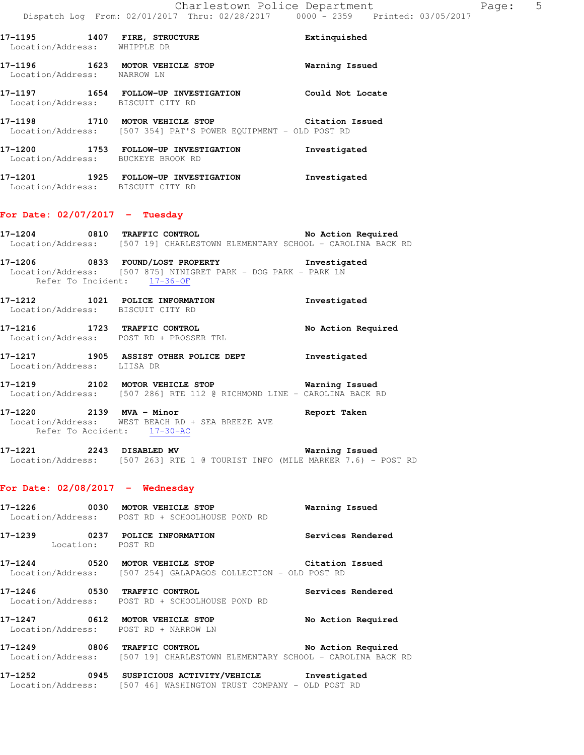**17-1196 1623 MOTOR VEHICLE STOP Warning Issued**  Location/Address: NARROW LN **17-1197 1654 FOLLOW-UP INVESTIGATION Could Not Locate**  Location/Address: BISCUIT CITY RD **17-1198 1710 MOTOR VEHICLE STOP Citation Issued**  Location/Address: [507 354] PAT'S POWER EQUIPMENT - OLD POST RD **17-1200 1753 FOLLOW-UP INVESTIGATION Investigated**  Location/Address: BUCKEYE BROOK RD

**17-1201 1925 FOLLOW-UP INVESTIGATION Investigated**  Location/Address: BISCUIT CITY RD

# **For Date: 02/07/2017 - Tuesday**

**17-1204 0810 TRAFFIC CONTROL No Action Required**  Location/Address: [507 19] CHARLESTOWN ELEMENTARY SCHOOL - CAROLINA BACK RD

**17-1206 0833 FOUND/LOST PROPERTY Investigated**  Location/Address: [507 875] NINIGRET PARK - DOG PARK - PARK LN Refer To Incident: 17-36-OF

**17-1212 1021 POLICE INFORMATION Investigated**  Location/Address: BISCUIT CITY RD

**17-1216 1723 TRAFFIC CONTROL No Action Required**  Location/Address: POST RD + PROSSER TRL

**17-1217 1905 ASSIST OTHER POLICE DEPT Investigated**  Location/Address: LIISA DR

**17-1219 2102 MOTOR VEHICLE STOP Warning Issued**  Location/Address: [507 286] RTE 112 @ RICHMOND LINE - CAROLINA BACK RD

**17-1220 2139 MVA - Minor Report Taken**  Location/Address: WEST BEACH RD + SEA BREEZE AVE Refer To Accident: 17-30-AC

**17-1221 2243 DISABLED MV Warning Issued**  Location/Address: [507 263] RTE 1 @ TOURIST INFO (MILE MARKER 7.6) - POST RD

### **For Date: 02/08/2017 - Wednesday**

| 17-1226<br>0030                                          | MOTOR VEHICLE STOP<br>Location/Address: POST RD + SCHOOLHOUSE POND RD                          | Warning Issued     |
|----------------------------------------------------------|------------------------------------------------------------------------------------------------|--------------------|
| 17-1239<br>0237<br>Location:                             | POLICE INFORMATION<br>POST RD                                                                  | Services Rendered  |
| 17-1244<br>0520                                          | MOTOR VEHICLE STOP<br>Location/Address: [507 254] GALAPAGOS COLLECTION - OLD POST RD           | Citation Issued    |
| 17-1246<br>0530                                          | TRAFFIC CONTROL<br>Location/Address: POST RD + SCHOOLHOUSE POND RD                             | Services Rendered  |
| 17–1247<br>0612<br>Location/Address: POST RD + NARROW LN | MOTOR VEHICLE STOP                                                                             | No Action Required |
| 17-1249<br>0806                                          | TRAFFIC CONTROL<br>Location/Address: [507 19] CHARLESTOWN ELEMENTARY SCHOOL - CAROLINA BACK RD | No Action Required |

**17-1252 0945 SUSPICIOUS ACTIVITY/VEHICLE Investigated**  Location/Address: [507 46] WASHINGTON TRUST COMPANY - OLD POST RD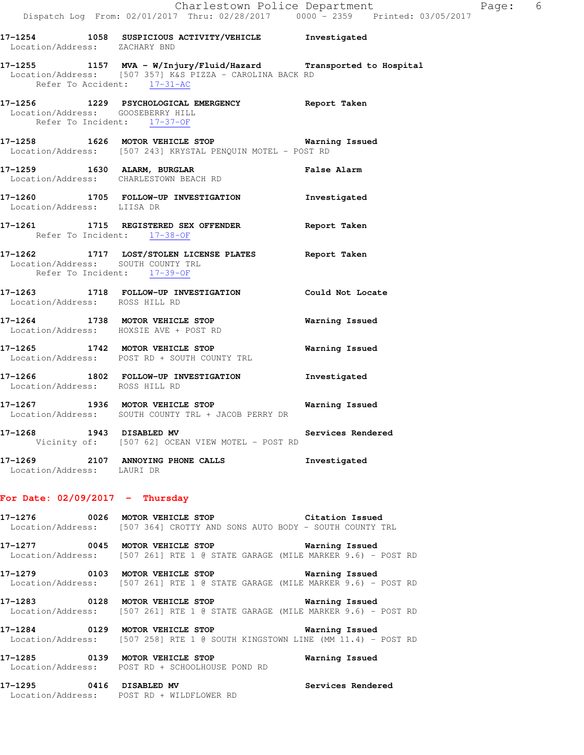**17-1254 1058 SUSPICIOUS ACTIVITY/VEHICLE Investigated**  Location/Address: ZACHARY BND **17-1255 1157 MVA - W/Injury/Fluid/Hazard Transported to Hospital**  Location/Address: [507 357] K&S PIZZA - CAROLINA BACK RD Refer To Accident: 17-31-AC **17-1256 1229 PSYCHOLOGICAL EMERGENCY Report Taken**  Location/Address: GOOSEBERRY HILL Refer To Incident: 17-37-OF **17-1258 1626 MOTOR VEHICLE STOP Warning Issued**  Location/Address: [507 243] KRYSTAL PENQUIN MOTEL - POST RD **17-1259 1630 ALARM, BURGLAR False Alarm**  Location/Address: CHARLESTOWN BEACH RD **17-1260 1705 FOLLOW-UP INVESTIGATION Investigated**  Location/Address: LIISA DR **17-1261 1715 REGISTERED SEX OFFENDER Report Taken**  Refer To Incident: 17-38-OF **17-1262 1717 LOST/STOLEN LICENSE PLATES Report Taken**  Location/Address: SOUTH COUNTY TRL Refer To Incident: 17-39-OF **17-1263 1718 FOLLOW-UP INVESTIGATION Could Not Locate**  Location/Address: ROSS HILL RD **17-1264 1738 MOTOR VEHICLE STOP Warning Issued**  Location/Address: HOXSIE AVE + POST RD **17-1265 1742 MOTOR VEHICLE STOP Warning Issued**  Location/Address: POST RD + SOUTH COUNTY TRL **17-1266 1802 FOLLOW-UP INVESTIGATION Investigated**  Location/Address: ROSS HILL RD **17-1267 1936 MOTOR VEHICLE STOP Warning Issued**  Location/Address: SOUTH COUNTY TRL + JACOB PERRY DR **17-1268 1943 DISABLED MV Services Rendered**  Vicinity of: [507 62] OCEAN VIEW MOTEL - POST RD

**17-1269 2107 ANNOYING PHONE CALLS Investigated**  Location/Address: LAURI DR

## **For Date: 02/09/2017 - Thursday**

**17-1276 0026 MOTOR VEHICLE STOP Citation Issued**  Location/Address: [507 364] CROTTY AND SONS AUTO BODY - SOUTH COUNTY TRL

**17-1277 0045 MOTOR VEHICLE STOP Warning Issued**  Location/Address: [507 261] RTE 1 @ STATE GARAGE (MILE MARKER 9.6) - POST RD

**17-1279 0103 MOTOR VEHICLE STOP Warning Issued**  Location/Address: [507 261] RTE 1 @ STATE GARAGE (MILE MARKER 9.6) - POST RD

**17-1283 0128 MOTOR VEHICLE STOP Warning Issued**  Location/Address: [507 261] RTE 1 @ STATE GARAGE (MILE MARKER 9.6) - POST RD

**17-1284 0129 MOTOR VEHICLE STOP Warning Issued**  Location/Address: [507 258] RTE 1 @ SOUTH KINGSTOWN LINE (MM 11.4) - POST RD

**17-1285 0139 MOTOR VEHICLE STOP Warning Issued**  Location/Address: POST RD + SCHOOLHOUSE POND RD

**17-1295 0416 DISABLED MV Services Rendered**  Location/Address: POST RD + WILDFLOWER RD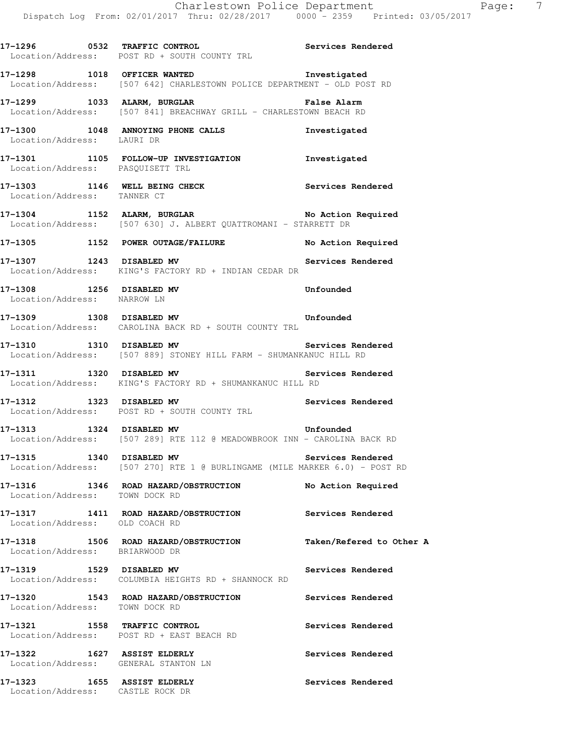|                                                                     | Location/Address: POST RD + SOUTH COUNTY TRL                                                                          |                          |
|---------------------------------------------------------------------|-----------------------------------------------------------------------------------------------------------------------|--------------------------|
|                                                                     | 17-1298 1018 OFFICER WANTED<br>Location/Address: [507 642] CHARLESTOWN POLICE DEPARTMENT - OLD POST RD                | Investigated             |
|                                                                     | 17-1299 1033 ALARM, BURGLAR 1999 12 Palse Alarm<br>Location/Address: [507 841] BREACHWAY GRILL - CHARLESTOWN BEACH RD |                          |
| Location/Address: LAURI DR                                          | 17-1300 1048 ANNOYING PHONE CALLS 1nvestigated                                                                        |                          |
|                                                                     | 17-1301 1105 FOLLOW-UP INVESTIGATION Investigated<br>Location/Address: PASQUISETT TRL                                 |                          |
| Location/Address: TANNER CT                                         | 17-1303 1146 WELL BEING CHECK Services Rendered                                                                       |                          |
|                                                                     | 17-1304 1152 ALARM, BURGLAR No Action Required<br>Location/Address: [507 630] J. ALBERT QUATTROMANI - STARRETT DR     |                          |
|                                                                     | 17-1305 1152 POWER OUTAGE/FAILURE No Action Required                                                                  |                          |
|                                                                     | 17-1307 1243 DISABLED MV 17-1307 Services Rendered<br>Location/Address: KING'S FACTORY RD + INDIAN CEDAR DR           |                          |
| 17-1308 1256 DISABLED MV<br>Location/Address: NARROW LN             |                                                                                                                       | Unfounded                |
|                                                                     | 17-1309 1308 DISABLED MV Unfounded<br>Location/Address: CAROLINA BACK RD + SOUTH COUNTY TRL                           |                          |
|                                                                     | 17-1310 1310 DISABLED MV Services Rendered<br>Location/Address: [507 889] STONEY HILL FARM - SHUMANKANUC HILL RD      |                          |
|                                                                     | 17-1311 1320 DISABLED MV Services Rendered<br>Location/Address: KING'S FACTORY RD + SHUMANKANUC HILL RD               |                          |
|                                                                     | 17-1312 1323 DISABLED MV 1999 Services Rendered<br>Location/Address: POST RD + SOUTH COUNTY TRL                       |                          |
|                                                                     | 17-1313 1324 DISABLED MV 17-1313<br>Location/Address: [507 289] RTE 112 @ MEADOWBROOK INN - CAROLINA BACK RD          |                          |
|                                                                     | 17-1315 1340 DISABLED MV<br>Location/Address: [507 270] RTE 1 @ BURLINGAME (MILE MARKER 6.0) - POST RD                | Services Rendered        |
| Location/Address: TOWN DOCK RD                                      | 17-1316 1346 ROAD HAZARD/OBSTRUCTION                                                                                  | No Action Required       |
| Location/Address: OLD COACH RD                                      | 17-1317 1411 ROAD HAZARD/OBSTRUCTION                                                                                  | Services Rendered        |
| Location/Address: BRIARWOOD DR                                      | 17-1318 1506 ROAD HAZARD/OBSTRUCTION                                                                                  | Taken/Refered to Other A |
| 17-1319 1529 DISABLED MV                                            | Location/Address: COLUMBIA HEIGHTS RD + SHANNOCK RD                                                                   | Services Rendered        |
|                                                                     | 17-1320 1543 ROAD HAZARD/OBSTRUCTION<br>Location/Address: TOWN DOCK RD                                                | Services Rendered        |
| 17-1321 1558 TRAFFIC CONTROL                                        | Location/Address: POST RD + EAST BEACH RD                                                                             | Services Rendered        |
| 17-1322 1627 ASSIST ELDERLY<br>Location/Address: GENERAL STANTON LN |                                                                                                                       | Services Rendered        |
| 17-1323 1655 ASSIST ELDERLY<br>Location/Address: CASTLE ROCK DR     |                                                                                                                       | Services Rendered        |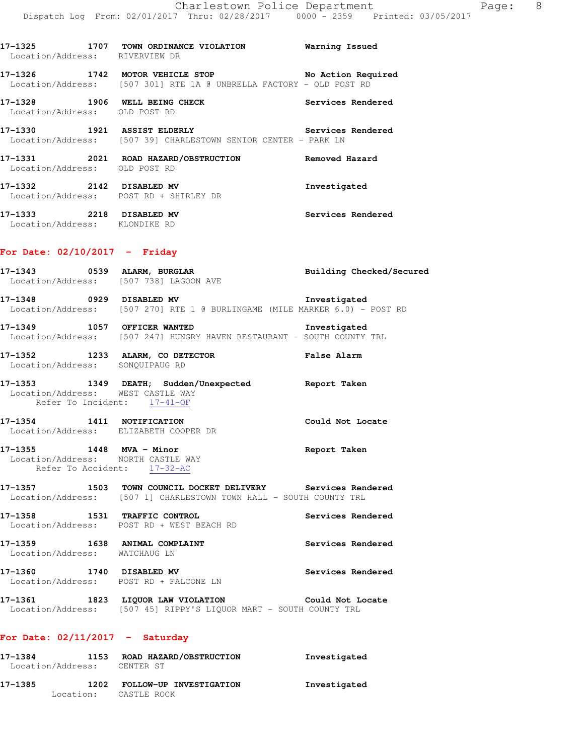| Location/Address: RIVERVIEW DR  | 17-1325 1707 TOWN ORDINANCE VIOLATION Warning Issued                                                                        |                   |
|---------------------------------|-----------------------------------------------------------------------------------------------------------------------------|-------------------|
|                                 | 17-1326 1742 MOTOR VEHICLE STOP No Action Required<br>Location/Address: [507 301] RTE 1A @ UNBRELLA FACTORY - OLD POST RD   |                   |
| Location/Address: OLD POST RD   | 17-1328 1906 WELL BEING CHECK                                                                                               | Services Rendered |
|                                 | 17-1330 1921 ASSIST ELDERLY Services Rendered<br>Location/Address: [507 39] CHARLESTOWN SENIOR CENTER - PARK LN             |                   |
| Location/Address: OLD POST RD   |                                                                                                                             |                   |
|                                 | 17-1332 2142 DISABLED MV<br>Location/Address: POST RD + SHIRLEY DR                                                          | Investigated      |
| Location/Address: KLONDIKE RD   | 17-1333 2218 DISABLED MV                                                                                                    | Services Rendered |
| For Date: $02/10/2017$ - Friday |                                                                                                                             |                   |
|                                 | 17-1343 0539 ALARM, BURGLAR BURGER Building Checked/Secured<br>Location/Address: [507 738] LAGOON AVE                       |                   |
|                                 | 17-1348 0929 DISABLED MV 17-1348 Investigated<br>Location/Address: [507 270] RTE 1 @ BURLINGAME (MILE MARKER 6.0) - POST RD |                   |
| 17-1349 1057 OFFICER WANTED     |                                                                                                                             | Investigated      |

Location/Address: [507 247] HUNGRY HAVEN RESTAURANT - SOUTH COUNTY TRL

| 17–1352           |               | 1233 ALARM, CO DETECTOR | <b>False Alarm</b> |  |
|-------------------|---------------|-------------------------|--------------------|--|
| Location/Address: | SONOUIPAUG RD |                         |                    |  |

- **17-1353 1349 DEATH; Sudden/Unexpected Report Taken**  Location/Address: WEST CASTLE WAY Refer To Incident: 17-41-OF
- **17-1354 1411 NOTIFICATION Could Not Locate**  Location/Address: ELIZABETH COOPER DR
- **17-1355 1448 MVA Minor Report Taken**  Location/Address: NORTH CASTLE WAY Refer To Accident: 17-32-AC
- **17-1357 1503 TOWN COUNCIL DOCKET DELIVERY Services Rendered**  Location/Address: [507 1] CHARLESTOWN TOWN HALL - SOUTH COUNTY TRL
- **17-1358 1531 TRAFFIC CONTROL Services Rendered**  Location/Address: POST RD + WEST BEACH RD
- **17-1359 1638 ANIMAL COMPLAINT Services Rendered**  Location/Address: WATCHAUG LN
- **17-1360 1740 DISABLED MV Services Rendered**  Location/Address: POST RD + FALCONE LN
- **17-1361 1823 LIQUOR LAW VIOLATION Could Not Locate**  Location/Address: [507 45] RIPPY'S LIQUOR MART - SOUTH COUNTY TRL

# **For Date: 02/11/2017 - Saturday**

| 17-1384<br>1153<br>Location/Address: |      | ROAD HAZARD/OBSTRUCTION<br>CENTER ST   | Investigated |
|--------------------------------------|------|----------------------------------------|--------------|
| 17–1385<br>Location:                 | 1202 | FOLLOW-UP INVESTIGATION<br>CASTLE ROCK | Investigated |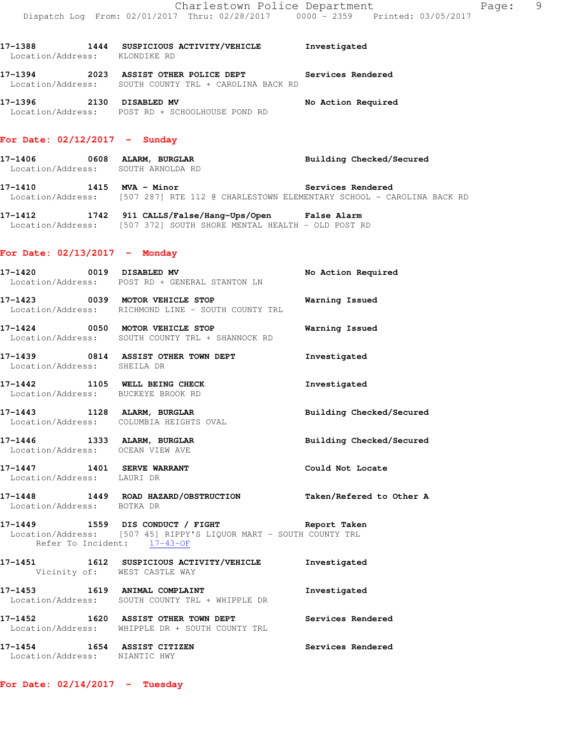**17-1388 1444 SUSPICIOUS ACTIVITY/VEHICLE Investigated**  Location/Address: KLONDIKE RD **17-1394 2023 ASSIST OTHER POLICE DEPT Services Rendered**  Location/Address: SOUTH COUNTY TRL + CAROLINA BACK RD

**17-1396 2130 DISABLED MV No Action Required**  Location/Address: POST RD + SCHOOLHOUSE POND RD

## **For Date: 02/12/2017 - Sunday**

**17-1406 0608 ALARM, BURGLAR Building Checked/Secured**  Location/Address: SOUTH ARNOLDA RD 17-1410 **1415 MVA - Minor 17-1410** Services Rendered

Location/Address: [507 287] RTE 112 @ CHARLESTOWN ELEMENTARY SCHOOL - CAROLINA BACK RD

**17-1412 1742 911 CALLS/False/Hang-Ups/Open False Alarm**  Location/Address: [507 372] SOUTH SHORE MENTAL HEALTH - OLD POST RD

#### **For Date: 02/13/2017 - Monday**

|                                                                     | 17-1420 0019 DISABLED MV<br>Location/Address: POST RD + GENERAL STANTON LN                                         | No Action Required       |
|---------------------------------------------------------------------|--------------------------------------------------------------------------------------------------------------------|--------------------------|
|                                                                     | 17-1423 0039 MOTOR VEHICLE STOP Warning Issued<br>Location/Address: RICHMOND LINE - SOUTH COUNTY TRL               |                          |
|                                                                     | 17-1424 0050 MOTOR VEHICLE STOP<br>Location/Address: SOUTH COUNTY TRL + SHANNOCK RD                                | Warning Issued           |
| Location/Address: SHEILA DR                                         | 17-1439 0814 ASSIST OTHER TOWN DEPT                                                                                | Investigated             |
| 17-1442 1105 WELL BEING CHECK<br>Location/Address: BUCKEYE BROOK RD |                                                                                                                    | Investigated             |
|                                                                     | 17-1443 1128 ALARM, BURGLAR<br>Location/Address: COLUMBIA HEIGHTS OVAL                                             | Building Checked/Secured |
| Location/Address: OCEAN VIEW AVE                                    | 17-1446 1333 ALARM, BURGLAR                                                                                        | Building Checked/Secured |
| 17-1447 1401 SERVE WARRANT<br>Location/Address: LAURI DR            |                                                                                                                    | Could Not Locate         |
|                                                                     | 17-1448   1449   ROAD HAZARD/OBSTRUCTION   Taken/Refered to Other A Location/Address: BOTKA DR                     |                          |
| Refer To Incident: 17-43-OF                                         | 17-1449 1559 DIS CONDUCT / FIGHT Neport Taken<br>Location/Address: [507 45] RIPPY'S LIQUOR MART - SOUTH COUNTY TRL |                          |
| Vicinity of: WEST CASTLE WAY                                        | 17-1451 1612 SUSPICIOUS ACTIVITY/VEHICLE Investigated                                                              |                          |
|                                                                     | 17-1453 1619 ANIMAL COMPLAINT<br>Location/Address: SOUTH COUNTY TRL + WHIPPLE DR                                   | Investigated             |
|                                                                     | 17-1452 1620 ASSIST OTHER TOWN DEPT Services Rendered<br>Location/Address: WHIPPLE DR + SOUTH COUNTY TRL           |                          |
| 17-1454 1654 ASSIST CITIZEN<br>Location/Address: NIANTIC HWY        |                                                                                                                    | Services Rendered        |

#### **For Date: 02/14/2017 - Tuesday**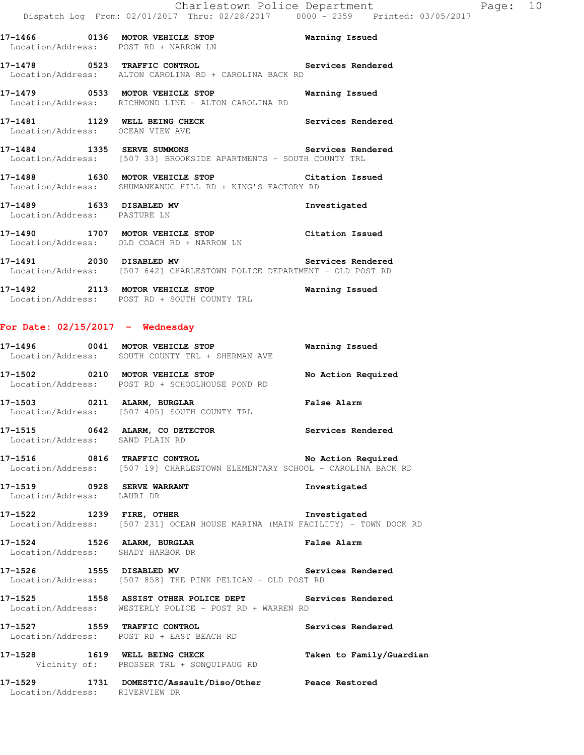**17-1478 0523 TRAFFIC CONTROL Services Rendered**  Location/Address: ALTON CAROLINA RD + CAROLINA BACK RD

**17-1479 0533 MOTOR VEHICLE STOP Warning Issued**  Location/Address: RICHMOND LINE - ALTON CAROLINA RD

**17-1481 1129 WELL BEING CHECK Services Rendered**  Location/Address: OCEAN VIEW AVE

**17-1484 1335 SERVE SUMMONS Services Rendered**  Location/Address: [507 33] BROOKSIDE APARTMENTS - SOUTH COUNTY TRL

**17-1488 1630 MOTOR VEHICLE STOP Citation Issued**  Location/Address: SHUMANKANUC HILL RD + KING'S FACTORY RD

**17-1489 1633 DISABLED MV Investigated**  Location/Address: PASTURE LN

**17-1490 1707 MOTOR VEHICLE STOP Citation Issued**  Location/Address: OLD COACH RD + NARROW LN

**17-1491 2030 DISABLED MV Services Rendered**  Location/Address: [507 642] CHARLESTOWN POLICE DEPARTMENT - OLD POST RD

**17-1492 2113 MOTOR VEHICLE STOP Warning Issued**  Location/Address: POST RD + SOUTH COUNTY TRL

#### **For Date: 02/15/2017 - Wednesday**

**17-1496 0041 MOTOR VEHICLE STOP Warning Issued**  Location/Address: SOUTH COUNTY TRL + SHERMAN AVE **17-1502 0210 MOTOR VEHICLE STOP No Action Required** 

Location/Address: POST RD + SCHOOLHOUSE POND RD

**17-1503 0211 ALARM, BURGLAR False Alarm**  Location/Address: [507 405] SOUTH COUNTY TRL

**17-1515 0642 ALARM, CO DETECTOR Services Rendered**  Location/Address: SAND PLAIN RD

**17-1516 0816 TRAFFIC CONTROL No Action Required**  Location/Address: [507 19] CHARLESTOWN ELEMENTARY SCHOOL - CAROLINA BACK RD

**17-1519 0928 SERVE WARRANT Investigated**  Location/Address: LAURI DR

**17-1522 1239 FIRE, OTHER Investigated**  Location/Address: [507 231] OCEAN HOUSE MARINA (MAIN FACILITY) - TOWN DOCK RD

**17-1524 1526 ALARM, BURGLAR False Alarm**  Location/Address: SHADY HARBOR DR

**17-1526 1555 DISABLED MV Services Rendered**  Location/Address: [507 858] THE PINK PELICAN - OLD POST RD

**17-1525 1558 ASSIST OTHER POLICE DEPT Services Rendered**  Location/Address: WESTERLY POLICE - POST RD + WARREN RD

**17-1527 1559 TRAFFIC CONTROL Services Rendered**  Location/Address: POST RD + EAST BEACH RD

17-1528 1619 WELL BEING CHECK Taken to Family/Guardian Vicinity of: PROSSER TRL + SONQUIPAUG RD

**17-1529 1731 DOMESTIC/Assault/Diso/Other Peace Restored**  Location/Address: RIVERVIEW DR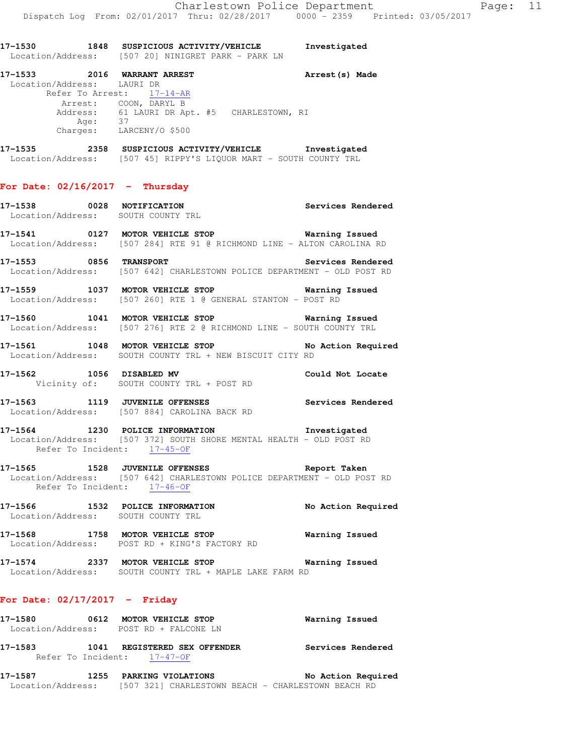|                            | 17-1530 1848 SUSPICIOUS ACTIVITY/VEHICLE<br>Location/Address: [507 20] NINIGRET PARK - PARK LN                                                                           | Investigated       |
|----------------------------|--------------------------------------------------------------------------------------------------------------------------------------------------------------------------|--------------------|
| Location/Address: LAURI DR | 17-1533 2016 WARRANT ARREST<br>Refer To Arrest: 17-14-AR<br>Arrest: COON, DARYL B<br>Address: 61 LAURI DR Apt. #5 CHARLESTOWN, RI<br>Age: 37<br>Charges: LARCENY/0 \$500 | Arrest(s) Made     |
|                            | 17-1535 2358 SUSPICIOUS ACTIVITY/VEHICLE Investigated<br>Location/Address: [507 45] RIPPY'S LIQUOR MART - SOUTH COUNTY TRL                                               |                    |
|                            | For Date: $02/16/2017$ - Thursday                                                                                                                                        |                    |
|                            | 17-1538 0028 NOTIFICATION<br>Location/Address: SOUTH COUNTY TRL                                                                                                          | Services Rendered  |
|                            | 17-1541 0127 MOTOR VEHICLE STOP 6 Warning Issued<br>Location/Address: [507 284] RTE 91 @ RICHMOND LINE - ALTON CAROLINA RD                                               |                    |
|                            | Services Rendered<br>17-1553 0856 TRANSPORT<br>Location/Address: [507 642] CHARLESTOWN POLICE DEPARTMENT - OLD POST RD                                                   |                    |
|                            | 17-1559 1037 MOTOR VEHICLE STOP 6 Warning Issued<br>Location/Address: [507 260] RTE 1 @ GENERAL STANTON - POST RD                                                        |                    |
|                            | 17-1560 1041 MOTOR VEHICLE STOP 6 Warning Issued<br>Location/Address: [507 276] RTE 2 @ RICHMOND LINE - SOUTH COUNTY TRL                                                 |                    |
|                            | 17-1561 1048 MOTOR VEHICLE STOP No Action Required<br>Location/Address: SOUTH COUNTY TRL + NEW BISCUIT CITY RD                                                           |                    |
|                            | 17-1562 1056 DISABLED MV<br>Vicinity of: SOUTH COUNTY TRL + POST RD                                                                                                      | Could Not Locate   |
|                            | 17-1563 1119 JUVENILE OFFENSES<br>Location/Address: [507 884] CAROLINA BACK RD                                                                                           | Services Rendered  |
|                            | 17-1564 1230 POLICE INFORMATION 1nvestigated<br>Location/Address: [507 372] SOUTH SHORE MENTAL HEALTH - OLD POST RD<br>Refer To Incident: 17-45-OF                       |                    |
|                            | 17-1565 1528 JUVENILE OFFENSES Neport Taken<br>Location/Address: [507 642] CHARLESTOWN POLICE DEPARTMENT - OLD POST RD<br>Refer To Incident: $17-46-OF$                  |                    |
|                            | 17-1566 1532 POLICE INFORMATION<br>Location/Address: SOUTH COUNTY TRL                                                                                                    | No Action Required |
|                            | 17-1568 1758 MOTOR VEHICLE STOP<br>Location/Address: POST RD + KING'S FACTORY RD                                                                                         | Warning Issued     |
|                            | 17-1574 2337 MOTOR VEHICLE STOP 6 Warning Issued<br>Location/Address: SOUTH COUNTY TRL + MAPLE LAKE FARM RD                                                              |                    |
|                            | For Date: $02/17/2017$ - Friday                                                                                                                                          |                    |

| 17–1580 | 0612 | <b>MOTOR VEHICLE STOP</b><br>Location/Address: POST RD + FALCONE LN | Warning Issued    |
|---------|------|---------------------------------------------------------------------|-------------------|
| 17–1583 |      | 1041 REGISTERED SEX OFFENDER                                        | Services Rendered |
|         |      | Refer To Incident: 17-47-OF                                         |                   |

## **17-1587 1255 PARKING VIOLATIONS No Action Required**  Location/Address: [507 321] CHARLESTOWN BEACH - CHARLESTOWN BEACH RD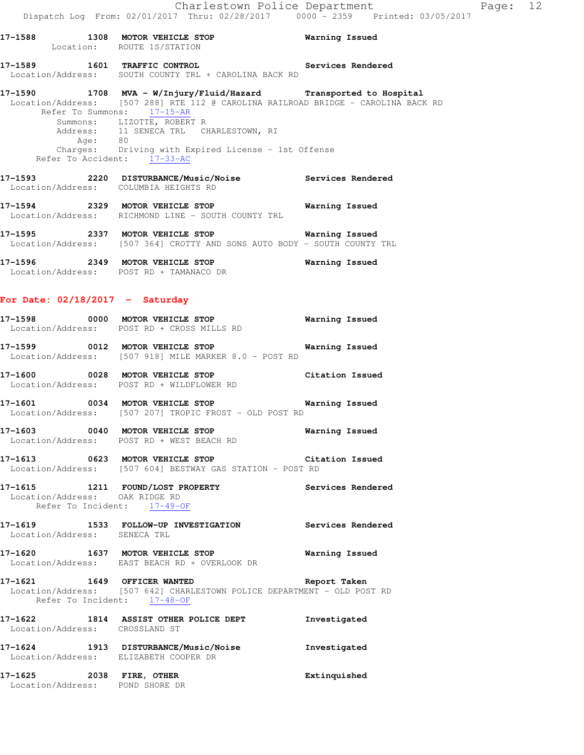# **17-1589 1601 TRAFFIC CONTROL Services Rendered**  Location/Address: SOUTH COUNTY TRL + CAROLINA BACK RD

### **17-1590 1708 MVA - W/Injury/Fluid/Hazard Transported to Hospital**  Location/Address: [507 288] RTE 112 @ CAROLINA RAILROAD BRIDGE - CAROLINA BACK RD Refer To Summons: 17-15-AR Summons: LIZOTTE, ROBERT R Address: 11 SENECA TRL CHARLESTOWN, RI Age: 80 Charges: Driving with Expired License - 1st Offense Refer To Accident: 17-33-AC

**17-1593 2220 DISTURBANCE/Music/Noise Services Rendered**  Location/Address: COLUMBIA HEIGHTS RD

**17-1594 2329 MOTOR VEHICLE STOP Warning Issued**  Location/Address: RICHMOND LINE - SOUTH COUNTY TRL

**17-1595 2337 MOTOR VEHICLE STOP Warning Issued**  Location/Address: [507 364] CROTTY AND SONS AUTO BODY - SOUTH COUNTY TRL

**17-1596 2349 MOTOR VEHICLE STOP Warning Issued**  Location/Address: POST RD + TAMANACO DR

## **For Date: 02/18/2017 - Saturday**

| 17–1598<br>Location/Address: | 0000 | <b>MOTOR VEHICLE STOP</b><br>POST RD + CROSS MILLS RD          | Warning Issued |
|------------------------------|------|----------------------------------------------------------------|----------------|
| 17–1599<br>Location/Address: |      | 0012 MOTOR VEHICLE STOP<br>[507 918] MILE MARKER 8.0 - POST RD | Warning Issued |

**17-1600 0028 MOTOR VEHICLE STOP Citation Issued**  Location/Address: POST RD + WILDFLOWER RD

**17-1601 0034 MOTOR VEHICLE STOP Warning Issued**  Location/Address: [507 207] TROPIC FROST - OLD POST RD

**17-1603 0040 MOTOR VEHICLE STOP Warning Issued**  Location/Address: POST RD + WEST BEACH RD

**17-1613 0623 MOTOR VEHICLE STOP Citation Issued**  Location/Address: [507 604] BESTWAY GAS STATION - POST RD

**17-1615 1211 FOUND/LOST PROPERTY Services Rendered**  Location/Address: OAK RIDGE RD Refer To Incident: 17-49-OF

**17-1619 1533 FOLLOW-UP INVESTIGATION Services Rendered**  Location/Address: SENECA TRL

**17-1620 1637 MOTOR VEHICLE STOP Warning Issued**  Location/Address: EAST BEACH RD + OVERLOOK DR

**17-1621 1649 OFFICER WANTED Report Taken**  Location/Address: [507 642] CHARLESTOWN POLICE DEPARTMENT - OLD POST RD Refer To Incident: 17-48-OF

**17-1622 1814 ASSIST OTHER POLICE DEPT Investigated**  Location/Address: CROSSLAND ST **17-1624 1913 DISTURBANCE/Music/Noise Investigated** 

 Location/Address: ELIZABETH COOPER DR **17-1625 2038 FIRE, OTHER Extinquished**  Location/Address: POND SHORE DR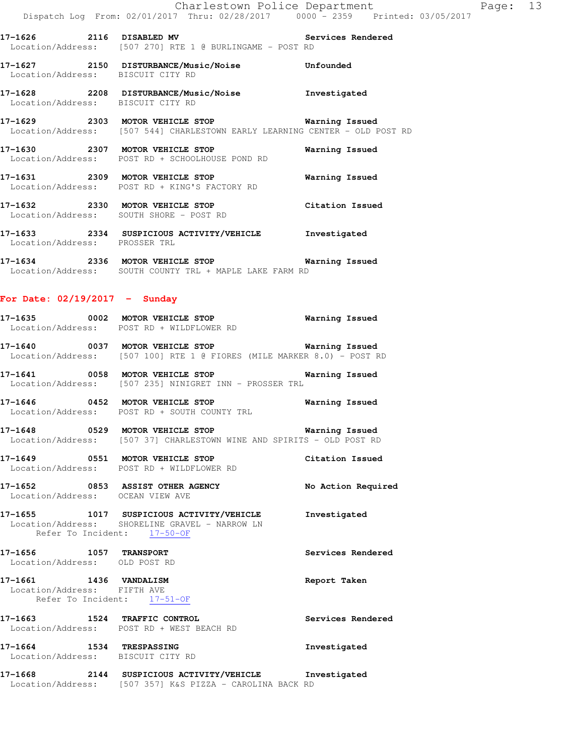**17-1626 2116 DISABLED MV Services Rendered**  Location/Address: [507 270] RTE 1 @ BURLINGAME - POST RD

**17-1627 2150 DISTURBANCE/Music/Noise Unfounded**  Location/Address: BISCUIT CITY RD

**17-1628 2208 DISTURBANCE/Music/Noise Investigated**  Location/Address: BISCUIT CITY RD

**17-1629 2303 MOTOR VEHICLE STOP Warning Issued**  Location/Address: [507 544] CHARLESTOWN EARLY LEARNING CENTER - OLD POST RD

**17-1630 2307 MOTOR VEHICLE STOP Warning Issued**  Location/Address: POST RD + SCHOOLHOUSE POND RD **17-1631 2309 MOTOR VEHICLE STOP Warning Issued** 

 Location/Address: POST RD + KING'S FACTORY RD **17-1632 2330 MOTOR VEHICLE STOP Citation Issued**  Location/Address: SOUTH SHORE - POST RD

**17-1633 2334 SUSPICIOUS ACTIVITY/VEHICLE Investigated**  Location/Address: PROSSER TRL

**17-1634 2336 MOTOR VEHICLE STOP Warning Issued**  Location/Address: SOUTH COUNTY TRL + MAPLE LAKE FARM RD

#### **For Date: 02/19/2017 - Sunday**

| 17-1635           | 0002 | MOTOR VEHICLE STOP      | Warning Issued |
|-------------------|------|-------------------------|----------------|
| Location/Address: |      | POST RD + WILDFLOWER RD |                |

**17-1640 0037 MOTOR VEHICLE STOP Warning Issued**  Location/Address: [507 100] RTE 1 @ FIORES (MILE MARKER 8.0) - POST RD

**17-1641 0058 MOTOR VEHICLE STOP Warning Issued**  Location/Address: [507 235] NINIGRET INN - PROSSER TRL

**17-1646 0452 MOTOR VEHICLE STOP Warning Issued**  Location/Address: POST RD + SOUTH COUNTY TRL

**17-1648 0529 MOTOR VEHICLE STOP Warning Issued**  Location/Address: [507 37] CHARLESTOWN WINE AND SPIRITS - OLD POST RD

**17-1649 0551 MOTOR VEHICLE STOP Citation Issued**  Location/Address: POST RD + WILDFLOWER RD

**17-1652 0853 ASSIST OTHER AGENCY No Action Required**  Location/Address: OCEAN VIEW AVE

**17-1655 1017 SUSPICIOUS ACTIVITY/VEHICLE Investigated**  Location/Address: SHORELINE GRAVEL - NARROW LN Refer To Incident: 17-50-OF

**17-1656 1057 TRANSPORT Services Rendered**  Location/Address: OLD POST RD

**17-1661 1436 VANDALISM Report Taken**  Location/Address: FIFTH AVE Refer To Incident: 17-51-OF

**17-1663 1524 TRAFFIC CONTROL Services Rendered**  Location/Address: POST RD + WEST BEACH RD

**17-1664 1534 TRESPASSING Investigated**  Location/Address: BISCUIT CITY RD

**17-1668 2144 SUSPICIOUS ACTIVITY/VEHICLE Investigated**  Location/Address: [507 357] K&S PIZZA - CAROLINA BACK RD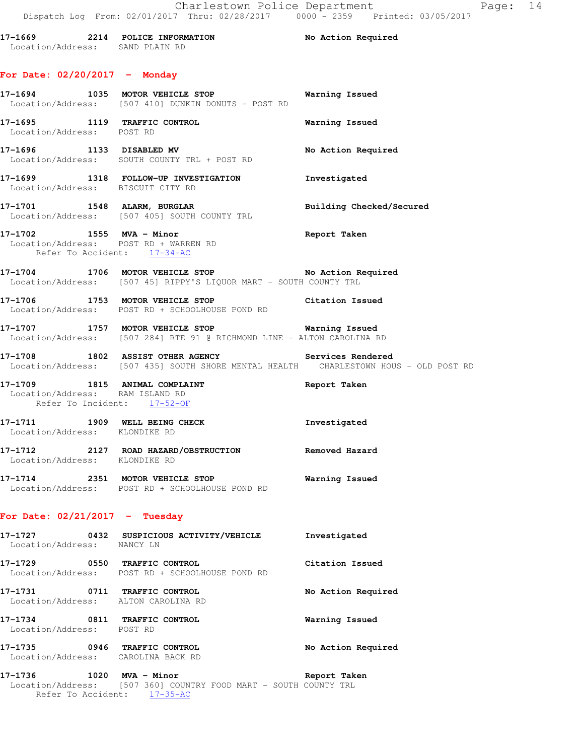**17-1669 2214 POLICE INFORMATION No Action Required**  Location/Address: SAND PLAIN RD **For Date: 02/20/2017 - Monday 17-1694 1035 MOTOR VEHICLE STOP Warning Issued**  Location/Address: [507 410] DUNKIN DONUTS - POST RD **17-1695 1119 TRAFFIC CONTROL Warning Issued**  Location/Address: POST RD **17-1696 1133 DISABLED MV No Action Required**  Location/Address: SOUTH COUNTY TRL + POST RD **17-1699 1318 FOLLOW-UP INVESTIGATION Investigated**  Location/Address: BISCUIT CITY RD **17-1701 1548 ALARM, BURGLAR Building Checked/Secured**  Location/Address: [507 405] SOUTH COUNTY TRL **17-1702 1555 MVA - Minor Report Taken**  Location/Address: POST RD + WARREN RD Refer To Accident: 17-34-AC

**17-1704 1706 MOTOR VEHICLE STOP No Action Required**  Location/Address: [507 45] RIPPY'S LIQUOR MART - SOUTH COUNTY TRL

**17-1706 1753 MOTOR VEHICLE STOP Citation Issued**  Location/Address: POST RD + SCHOOLHOUSE POND RD

**17-1707 1757 MOTOR VEHICLE STOP Warning Issued**  Location/Address: [507 284] RTE 91 @ RICHMOND LINE - ALTON CAROLINA RD

**17-1708 1802 ASSIST OTHER AGENCY Services Rendered**  Location/Address: [507 435] SOUTH SHORE MENTAL HEALTH CHARLESTOWN HOUS - OLD POST RD

**17-1709 1815 ANIMAL COMPLAINT Report Taken**  Location/Address: RAM ISLAND RD Refer To Incident: 17-52-OF **17-1711 1909 WELL BEING CHECK Investigated** 

 Location/Address: KLONDIKE RD **17-1712 2127 ROAD HAZARD/OBSTRUCTION Removed Hazard**  Location/Address: KLONDIKE RD

**17-1714 2351 MOTOR VEHICLE STOP Warning Issued**  Location/Address: POST RD + SCHOOLHOUSE POND RD

#### **For Date: 02/21/2017 - Tuesday**

**17-1727 0432 SUSPICIOUS ACTIVITY/VEHICLE Investigated**  Location/Address: NANCY LN **17-1729 0550 TRAFFIC CONTROL Citation Issued**  Location/Address: POST RD + SCHOOLHOUSE POND RD **17-1731 0711 TRAFFIC CONTROL No Action Required**  Location/Address: ALTON CAROLINA RD **17-1734 0811 TRAFFIC CONTROL Warning Issued**  Location/Address: POST RD **17-1735 0946 TRAFFIC CONTROL No Action Required**  Location/Address: CAROLINA BACK RD

**17-1736 1020 MVA - Minor Report Taken**  Location/Address: [507 360] COUNTRY FOOD MART - SOUTH COUNTY TRL Refer To Accident: 17-35-AC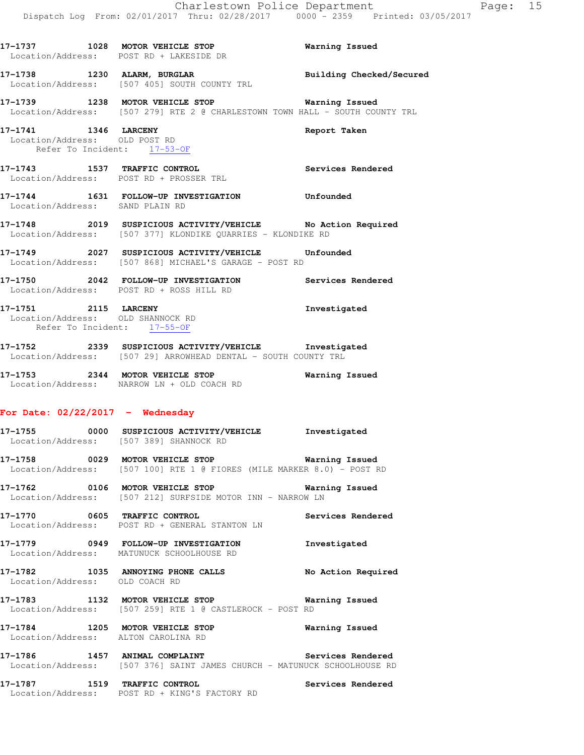|                                                       | 17-1737 1028 MOTOR VEHICLE STOP<br>Location/Address: POST RD + LAKESIDE DR                                                     | Warning Issued    |
|-------------------------------------------------------|--------------------------------------------------------------------------------------------------------------------------------|-------------------|
|                                                       | 17-1738 1230 ALARM, BURGLAR BURGINER Building Checked/Secured Location/Address: [507 405] SOUTH COUNTY TRL                     |                   |
|                                                       | 17-1739 1238 MOTOR VEHICLE STOP<br>Location/Address: [507 279] RTE 2 @ CHARLESTOWN TOWN HALL - SOUTH COUNTY TRL                | Warning Issued    |
| 17-1741 1346 LARCENY<br>Location/Address: OLD POST RD | Refer To Incident: 17-53-OF                                                                                                    | Report Taken      |
|                                                       | 17-1743 1537 TRAFFIC CONTROL<br>Location/Address: POST RD + PROSSER TRL                                                        | Services Rendered |
| Location/Address: SAND PLAIN RD                       | 17-1744 1631 FOLLOW-UP INVESTIGATION Unfounded                                                                                 |                   |
|                                                       | 17-1748 2019 SUSPICIOUS ACTIVITY/VEHICLE No Action Required<br>Location/Address: [507 377] KLONDIKE QUARRIES - KLONDIKE RD     |                   |
|                                                       | 17-1749 2027 SUSPICIOUS ACTIVITY/VEHICLE Unfounded<br>Location/Address: [507 868] MICHAEL'S GARAGE - POST RD                   |                   |
|                                                       | 17-1750 2042 FOLLOW-UP INVESTIGATION Services Rendered<br>Location/Address: POST RD + ROSS HILL RD                             |                   |
|                                                       | 17-1751 2115 LARCENY<br>Location/Address: OLD SHANNOCK RD<br>Refer To Incident: 17-55-OF                                       | Investigated      |
|                                                       | 17-1752 2339 SUSPICIOUS ACTIVITY/VEHICLE Investigated<br>Location/Address: [507 29] ARROWHEAD DENTAL - SOUTH COUNTY TRL        |                   |
|                                                       | 17-1753 2344 MOTOR VEHICLE STOP 6 Warning Issued<br>Location/Address: NARROW LN + OLD COACH RD                                 |                   |
| For Date: $02/22/2017$ - Wednesday                    |                                                                                                                                |                   |
|                                                       | 17-1755 0000 SUSPICIOUS ACTIVITY/VEHICLE Investigated<br>Location/Address: [507 389] SHANNOCK RD                               |                   |
|                                                       | 17-1758 0029 MOTOR VEHICLE STOP <b>WARELL WARELL</b><br>Location/Address: [507 100] RTE 1 @ FIORES (MILE MARKER 8.0) - POST RD |                   |
|                                                       | 17-1762 0106 MOTOR VEHICLE STOP 6 Warning Issued<br>Location/Address: [507 212] SURFSIDE MOTOR INN - NARROW LN                 |                   |
|                                                       | 17-1770 0605 TRAFFIC CONTROL 2000 Services Rendered<br>Location/Address: POST RD + GENERAL STANTON LN                          |                   |

**17-1779 0949 FOLLOW-UP INVESTIGATION Investigated**  Location/Address: MATUNUCK SCHOOLHOUSE RD

**17-1782 1035 ANNOYING PHONE CALLS No Action Required**  Location/Address: OLD COACH RD

**17-1783 1132 MOTOR VEHICLE STOP Warning Issued**  Location/Address: [507 259] RTE 1 @ CASTLEROCK - POST RD

**17-1784 1205 MOTOR VEHICLE STOP Warning Issued**  Location/Address: ALTON CAROLINA RD

17-1786 1457 ANIMAL COMPLAINT **17-1786** Services Rendered Location/Address: [507 376] SAINT JAMES CHURCH - MATUNUCK SCHOOLHOUSE RD

**17-1787 1519 TRAFFIC CONTROL Services Rendered**  Location/Address: POST RD + KING'S FACTORY RD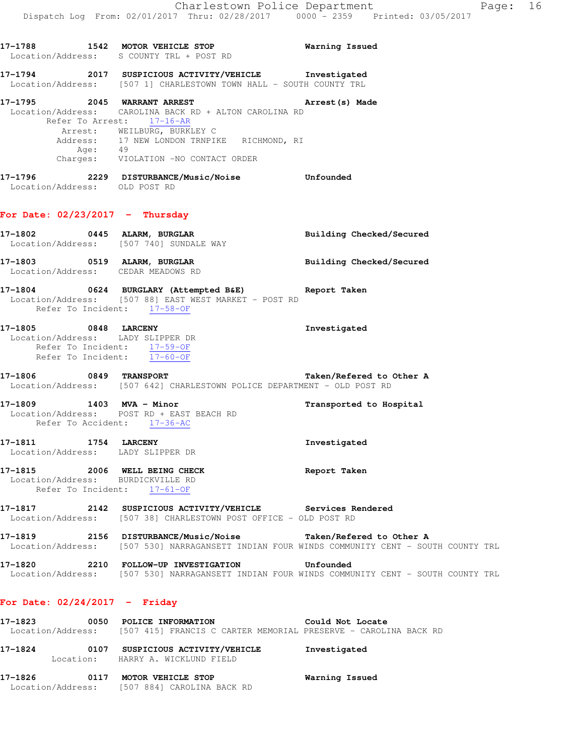|                                                                                                   | 17-1788 1542 MOTOR VEHICLE STOP 17-1788 Warning Issued<br>Location/Address: S COUNTY TRL + POST RD                                                                                                                                                  |                                                                                                           |
|---------------------------------------------------------------------------------------------------|-----------------------------------------------------------------------------------------------------------------------------------------------------------------------------------------------------------------------------------------------------|-----------------------------------------------------------------------------------------------------------|
|                                                                                                   | 17-1794 2017 SUSPICIOUS ACTIVITY/VEHICLE Investigated<br>Location/Address: [507 1] CHARLESTOWN TOWN HALL - SOUTH COUNTY TRL                                                                                                                         |                                                                                                           |
|                                                                                                   | 17-1795 2045 WARRANT ARREST<br>Location/Address: CAROLINA BACK RD + ALTON CAROLINA RD<br>Refer To Arrest: 17-16-AR<br>Arrest: WEILBURG, BURKLEY C<br>Address: 17 NEW LONDON TRNPIKE RICHMOND, RI<br>Age: 49<br>Charges: VIOLATION -NO CONTACT ORDER | Arrest (s) Made                                                                                           |
| Location/Address: OLD POST RD                                                                     | 17-1796 2229 DISTURBANCE/Music/Noise Unfounded                                                                                                                                                                                                      |                                                                                                           |
| For Date: $02/23/2017$ - Thursday                                                                 |                                                                                                                                                                                                                                                     |                                                                                                           |
|                                                                                                   | 17-1802 0445 ALARM, BURGLAR BURGLAR Building Checked/Secured<br>Location/Address: [507 740] SUNDALE WAY                                                                                                                                             |                                                                                                           |
|                                                                                                   | 17-1803 0519 ALARM, BURGLAR<br>Location/Address: CEDAR MEADOWS RD                                                                                                                                                                                   | <b>Building Checked/Secured</b>                                                                           |
| Refer To Incident: 17-58-OF                                                                       | 17-1804 0624 BURGLARY (Attempted B&E) Report Taken<br>Location/Address: [507 88] EAST WEST MARKET - POST RD                                                                                                                                         |                                                                                                           |
| Location/Address: LADY SLIPPER DR<br>Refer To Incident: 17-59-OF<br>Refer To Incident: 17-60-OF   | 17-1805 0848 LARCENY                                                                                                                                                                                                                                | Investigated                                                                                              |
|                                                                                                   | 17-1806 0849 TRANSPORT<br>Location/Address: [507 642] CHARLESTOWN POLICE DEPARTMENT - OLD POST RD                                                                                                                                                   | Taken/Refered to Other A                                                                                  |
| Refer To Accident: 17-36-AC                                                                       | 17-1809 1403 MVA - Minor<br>Location/Address: POST RD + EAST BEACH RD                                                                                                                                                                               | Transported to Hospital                                                                                   |
| 17-1811 1754 LARCENY<br>Location/Address: LADY SLIPPER DR                                         |                                                                                                                                                                                                                                                     | Investigated                                                                                              |
| 17-1815 2006 WELL BEING CHECK<br>Location/Address: BURDICKVILLE RD<br>Refer To Incident: 17-61-OF |                                                                                                                                                                                                                                                     | Report Taken                                                                                              |
|                                                                                                   | 17-1817   2142   SUSPICIOUS ACTIVITY/VEHICLE   Services Rendered<br>Location/Address: [507 38] CHARLESTOWN POST OFFICE - OLD POST RD                                                                                                                |                                                                                                           |
|                                                                                                   | 17-1819 		 2156 DISTURBANCE/Music/Noise 		 Taken/Refered to Other A                                                                                                                                                                                 | Location/Address: [507 530] NARRAGANSETT INDIAN FOUR WINDS COMMUNITY CENT - SOUTH COUNTY TRL              |
| 17-1820                                                                                           | 2210 FOLLOW-UP INVESTIGATION                                                                                                                                                                                                                        | Unfounded<br>Location/Address: [507 530] NARRAGANSETT INDIAN FOUR WINDS COMMUNITY CENT - SOUTH COUNTY TRL |
| For Date: $02/24/2017$ - Friday                                                                   |                                                                                                                                                                                                                                                     |                                                                                                           |

**17-1823 0050 POLICE INFORMATION Could Not Locate**  Location/Address: [507 415] FRANCIS C CARTER MEMORIAL PRESERVE - CAROLINA BACK RD

| 17-1824 | 0107      | SUSPICIOUS ACTIVITY/VEHICLE | Investigated |
|---------|-----------|-----------------------------|--------------|
|         | Location: | HARRY A. WICKLUND FIELD     |              |
|         |           |                             |              |

**17-1826 0117 MOTOR VEHICLE STOP Warning Issued**  Location/Address: [507 884] CAROLINA BACK RD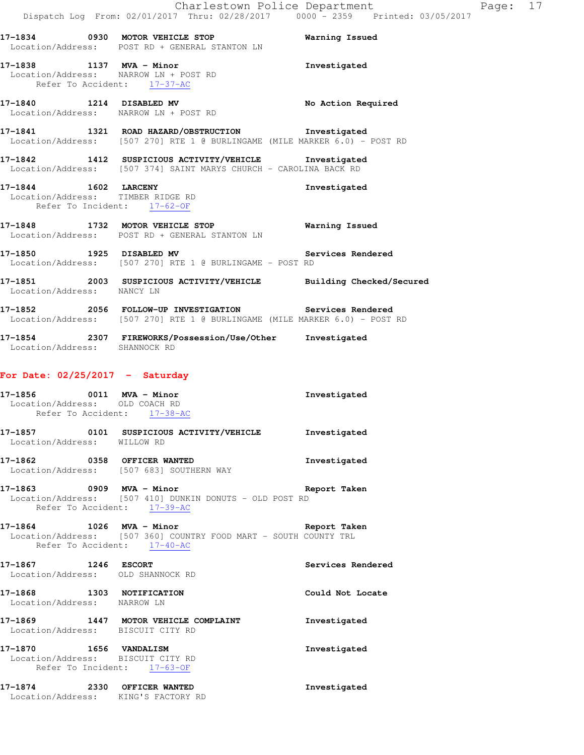**17-1834 0930 MOTOR VEHICLE STOP Warning Issued**  Location/Address: POST RD + GENERAL STANTON LN

**17-1838 1137 MVA - Minor Investigated**  Location/Address: NARROW LN + POST RD Refer To Accident: 17-37-AC

**17-1840 1214 DISABLED MV No Action Required**  Location/Address: NARROW LN + POST RD

**17-1841 1321 ROAD HAZARD/OBSTRUCTION Investigated**  Location/Address: [507 270] RTE 1 @ BURLINGAME (MILE MARKER 6.0) - POST RD

**17-1842 1412 SUSPICIOUS ACTIVITY/VEHICLE Investigated**  Location/Address: [507 374] SAINT MARYS CHURCH - CAROLINA BACK RD

**17-1844 1602 LARCENY Investigated**  Location/Address: TIMBER RIDGE RD Refer To Incident: 17-62-OF

**17-1848 1732 MOTOR VEHICLE STOP Warning Issued**  Location/Address: POST RD + GENERAL STANTON LN

**17-1850 1925 DISABLED MV Services Rendered**  Location/Address: [507 270] RTE 1 @ BURLINGAME - POST RD

**17-1851 2003 SUSPICIOUS ACTIVITY/VEHICLE Building Checked/Secured**  Location/Address: NANCY LN

**17-1852 2056 FOLLOW-UP INVESTIGATION Services Rendered**  Location/Address: [507 270] RTE 1 @ BURLINGAME (MILE MARKER 6.0) - POST RD

**17-1854 2307 FIREWORKS/Possession/Use/Other Investigated**  Location/Address: SHANNOCK RD

# **For Date: 02/25/2017 - Saturday**

| 17-1856 0011 MVA - Minor<br>Location/Address: OLD COACH RD<br>Refer To Accident: 17-38-AC        |                                                                                                                                             | Investigated             |
|--------------------------------------------------------------------------------------------------|---------------------------------------------------------------------------------------------------------------------------------------------|--------------------------|
| Location/Address: WILLOW RD                                                                      |                                                                                                                                             |                          |
|                                                                                                  | 17-1862 0358 OFFICER WANTED<br>Location/Address: [507 683] SOUTHERN WAY                                                                     | Investigated             |
|                                                                                                  | 17-1863 0909 MVA - Minor Changes and Report Taken<br>Location/Address: [507 410] DUNKIN DONUTS - OLD POST RD<br>Refer To Accident: 17-39-AC |                          |
| Refer To Accident: 17-40-AC                                                                      | 17-1864 1026 MVA - Minor and the Seport Taken<br>Location/Address: [507 360] COUNTRY FOOD MART - SOUTH COUNTY TRL                           |                          |
| 17-1867 1246 ESCORT                                                                              | Location/Address: OLD SHANNOCK RD                                                                                                           | <b>Services Rendered</b> |
| 17-1868 1303 NOTIFICATION<br>Location/Address: NARROW LN                                         |                                                                                                                                             | Could Not Locate         |
| Location/Address: BISCUIT CITY RD                                                                | 17-1869 1447 MOTOR VEHICLE COMPLAINT                                                                                                        | Investigated             |
| 17-1870    1656    VANDALISM<br>Location/Address: BISCUIT CITY RD<br>Refer To Incident: 17-63-OF |                                                                                                                                             | Investigated             |
|                                                                                                  | 17-1874 2330 OFFICER WANTED<br>Location/Address: KING'S FACTORY RD                                                                          | Investigated             |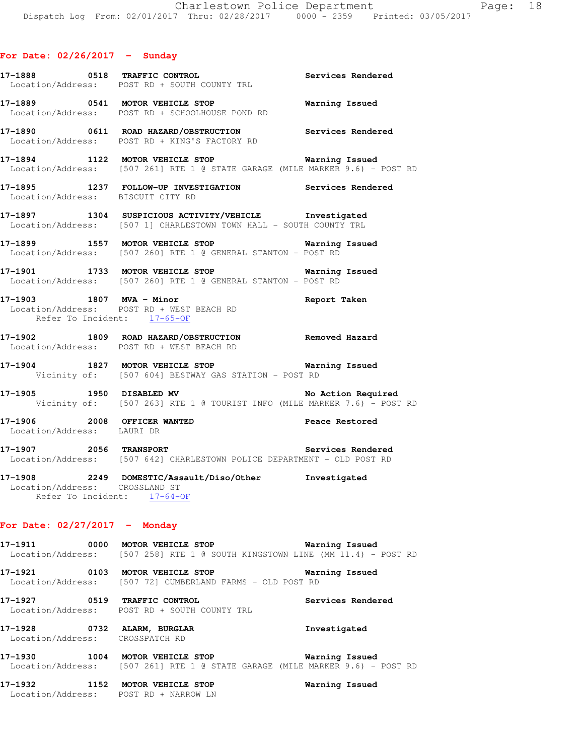|                                   | 17-1888 0518 TRAFFIC CONTROL Services Rendered Location/Address: POST RD + SOUTH COUNTY TRL                                           |                       |
|-----------------------------------|---------------------------------------------------------------------------------------------------------------------------------------|-----------------------|
|                                   | 17-1889 0541 MOTOR VEHICLE STOP<br>Location/Address: POST RD + SCHOOLHOUSE POND RD                                                    | <b>Warning Issued</b> |
|                                   | 17-1890 0611 ROAD HAZARD/OBSTRUCTION Services Rendered<br>Location/Address: POST RD + KING'S FACTORY RD                               |                       |
|                                   | 17-1894 1122 MOTOR VEHICLE STOP <b>Warning Issued</b><br>Location/Address: [507 261] RTE 1 @ STATE GARAGE (MILE MARKER 9.6) - POST RD |                       |
| Location/Address: BISCUIT CITY RD | 17-1895 1237 FOLLOW-UP INVESTIGATION Services Rendered                                                                                |                       |
|                                   | 17-1897 1304 SUSPICIOUS ACTIVITY/VEHICLE Investigated<br>Location/Address: [507 1] CHARLESTOWN TOWN HALL - SOUTH COUNTY TRL           |                       |
|                                   | 17-1899 1557 MOTOR VEHICLE STOP 17-1899 Warning Issued<br>Location/Address: [507 260] RTE 1 @ GENERAL STANTON - POST RD               |                       |
|                                   | 17-1901 1733 MOTOR VEHICLE STOP 6 Warning Issued<br>Location/Address: [507 260] RTE 1 @ GENERAL STANTON - POST RD                     |                       |
| Refer To Incident: 17-65-OF       | 17-1903 1807 MVA - Minor <b>Night Strategie and Strate</b> Report Taken<br>Location/Address: POST RD + WEST BEACH RD                  |                       |
|                                   | 17-1902 1809 ROAD HAZARD/OBSTRUCTION Removed Hazard<br>Location/Address: POST RD + WEST BEACH RD                                      |                       |
|                                   | 17-1904 1827 MOTOR VEHICLE STOP 6 Warning Issued<br>Vicinity of: [507 604] BESTWAY GAS STATION - POST RD                              |                       |
|                                   | 17-1905 1950 DISABLED MV No Action Required<br>Vicinity of: [507 263] RTE 1 @ TOURIST INFO (MILE MARKER 7.6) - POST RD                |                       |
| Location/Address: LAURI DR        | 17-1906 2008 OFFICER WANTED 2008 Peace Restored                                                                                       |                       |
|                                   | 17-1907 1997 2056 TRANSPORT 2006 2006 2011 17-1907<br>Location/Address: [507 642] CHARLESTOWN POLICE DEPARTMENT - OLD POST RD         |                       |
| Location/Address: CROSSLAND ST    | 17-1908 2249 DOMESTIC/Assault/Diso/Other Investigated<br>Refer To Incident: 17-64-OF                                                  |                       |
| For Date: $02/27/2017$ - Monday   |                                                                                                                                       |                       |
|                                   | 17-1911 0000 MOTOR VEHICLE STOP<br>Location/Address: [507 258] RTE 1 @ SOUTH KINGSTOWN LINE (MM 11.4) - POST RD                       | Warning Issued        |
|                                   | 17-1921 0103 MOTOR VEHICLE STOP<br>Location/Address: [507 72] CUMBERLAND FARMS - OLD POST RD                                          | Warning Issued        |
|                                   | 17-1927 0519 TRAFFIC CONTROL<br>Location/Address: POST RD + SOUTH COUNTY TRL                                                          | Services Rendered     |

 Location/Address: CROSSPATCH RD **17-1930 1004 MOTOR VEHICLE STOP Warning Issued** 

**17-1928 0732 ALARM, BURGLAR Investigated** 

Location/Address: [507 261] RTE 1 @ STATE GARAGE (MILE MARKER 9.6) - POST RD

**17-1932 1152 MOTOR VEHICLE STOP Warning Issued**  Location/Address: POST RD + NARROW LN